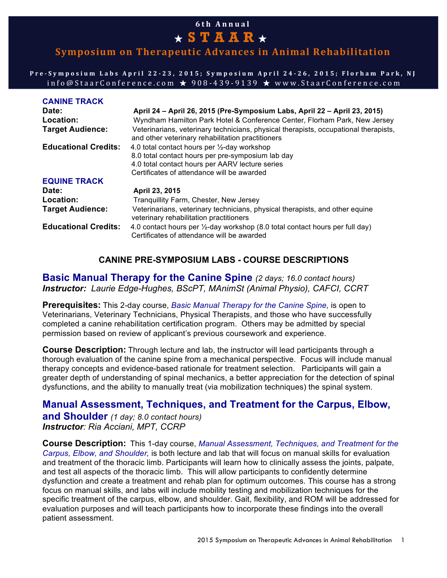# **6th Annual**  ★ **STAAR** ★

# **Symposium on Therapeutic Advances in Animal Rehabilitation**

**Pre - Symposium Labs April 22 - 23, 2015; Symposium April 24 - 26, 2015; Florham Park, NJ** info@StaarConference.com  $\star$  908-439-9139  $\star$  www.StaarConference.com

| <b>CANINE TRACK</b>         |                                                                                                                                           |
|-----------------------------|-------------------------------------------------------------------------------------------------------------------------------------------|
| Date:                       | April 24 - April 26, 2015 (Pre-Symposium Labs, April 22 - April 23, 2015)                                                                 |
| Location:                   | Wyndham Hamilton Park Hotel & Conference Center, Florham Park, New Jersey                                                                 |
| <b>Target Audience:</b>     | Veterinarians, veterinary technicians, physical therapists, occupational therapists,<br>and other veterinary rehabilitation practitioners |
| <b>Educational Credits:</b> | 4.0 total contact hours per 1/2-day workshop                                                                                              |
|                             | 8.0 total contact hours per pre-symposium lab day                                                                                         |
|                             | 4.0 total contact hours per AARV lecture series                                                                                           |
|                             | Certificates of attendance will be awarded                                                                                                |
| <b>EQUINE TRACK</b>         |                                                                                                                                           |
| Date:                       | April 23, 2015                                                                                                                            |
| Location:                   | Tranquillity Farm, Chester, New Jersey                                                                                                    |
| <b>Target Audience:</b>     | Veterinarians, veterinary technicians, physical therapists, and other equine<br>veterinary rehabilitation practitioners                   |
| <b>Educational Credits:</b> | 4.0 contact hours per 1/2-day workshop (8.0 total contact hours per full day)<br>Certificates of attendance will be awarded               |
|                             |                                                                                                                                           |

## **CANINE PRE-SYMPOSIUM LABS - COURSE DESCRIPTIONS**

**Basic Manual Therapy for the Canine Spine** *(2 days; 16.0 contact hours) Instructor: Laurie Edge-Hughes, BScPT, MAnimSt (Animal Physio), CAFCI, CCRT*

**Prerequisites:** This 2-day course, *Basic Manual Therapy for the Canine Spine,* is open to Veterinarians, Veterinary Technicians, Physical Therapists, and those who have successfully completed a canine rehabilitation certification program. Others may be admitted by special permission based on review of applicant's previous coursework and experience.

**Course Description:** Through lecture and lab, the instructor will lead participants through a thorough evaluation of the canine spine from a mechanical perspective. Focus will include manual therapy concepts and evidence-based rationale for treatment selection. Participants will gain a greater depth of understanding of spinal mechanics, a better appreciation for the detection of spinal dysfunctions, and the ability to manually treat (via mobilization techniques) the spinal system.

# **Manual Assessment, Techniques, and Treatment for the Carpus, Elbow,**

**and Shoulder** *(1 day; 8.0 contact hours) Instructor: Ria Acciani, MPT, CCRP*

**Course Description:** This 1-day course, *Manual Assessment, Techniques, and Treatment for the Carpus, Elbow, and Shoulder,* is both lecture and lab that will focus on manual skills for evaluation and treatment of the thoracic limb. Participants will learn how to clinically assess the joints, palpate, and test all aspects of the thoracic limb. This will allow participants to confidently determine dysfunction and create a treatment and rehab plan for optimum outcomes. This course has a strong focus on manual skills, and labs will include mobility testing and mobilization techniques for the specific treatment of the carpus, elbow, and shoulder. Gait, flexibility, and ROM will be addressed for evaluation purposes and will teach participants how to incorporate these findings into the overall patient assessment.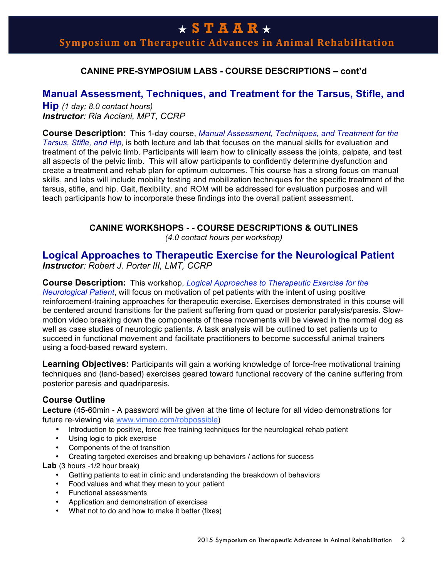**Symposium on Therapeutic Advances in Animal Rehabilitation** 

## **CANINE PRE-SYMPOSIUM LABS - COURSE DESCRIPTIONS – cont'd**

## **Manual Assessment, Techniques, and Treatment for the Tarsus, Stifle, and**

**Hip** *(1 day; 8.0 contact hours) Instructor: Ria Acciani, MPT, CCRP*

**Course Description:** This 1-day course, *Manual Assessment, Techniques, and Treatment for the Tarsus, Stifle, and Hip,* is both lecture and lab that focuses on the manual skills for evaluation and treatment of the pelvic limb. Participants will learn how to clinically assess the joints, palpate, and test all aspects of the pelvic limb. This will allow participants to confidently determine dysfunction and create a treatment and rehab plan for optimum outcomes. This course has a strong focus on manual skills, and labs will include mobility testing and mobilization techniques for the specific treatment of the tarsus, stifle, and hip. Gait, flexibility, and ROM will be addressed for evaluation purposes and will teach participants how to incorporate these findings into the overall patient assessment.

## **CANINE WORKSHOPS - - COURSE DESCRIPTIONS & OUTLINES**

*(4.0 contact hours per workshop)*

## **Logical Approaches to Therapeutic Exercise for the Neurological Patient** *Instructor: Robert J. Porter III, LMT, CCRP*

**Course Description:** This workshop, *Logical Approaches to Therapeutic Exercise for the Neurological Patient*, will focus on motivation of pet patients with the intent of using positive reinforcement-training approaches for therapeutic exercise. Exercises demonstrated in this course will be centered around transitions for the patient suffering from quad or posterior paralysis/paresis. Slowmotion video breaking down the components of these movements will be viewed in the normal dog as well as case studies of neurologic patients. A task analysis will be outlined to set patients up to succeed in functional movement and facilitate practitioners to become successful animal trainers using a food-based reward system.

**Learning Objectives:** Participants will gain a working knowledge of force-free motivational training techniques and (land-based) exercises geared toward functional recovery of the canine suffering from posterior paresis and quadriparesis.

## **Course Outline**

**Lecture** (45-60min - A password will be given at the time of lecture for all video demonstrations for future re-viewing via www.vimeo.com/robpossible)

- Introduction to positive, force free training techniques for the neurological rehab patient
- Using logic to pick exercise
- Components of the of transition
- Creating targeted exercises and breaking up behaviors / actions for success

Lab (3 hours -1/2 hour break)

- Getting patients to eat in clinic and understanding the breakdown of behaviors
- Food values and what they mean to your patient
- Functional assessments
- Application and demonstration of exercises
- What not to do and how to make it better (fixes)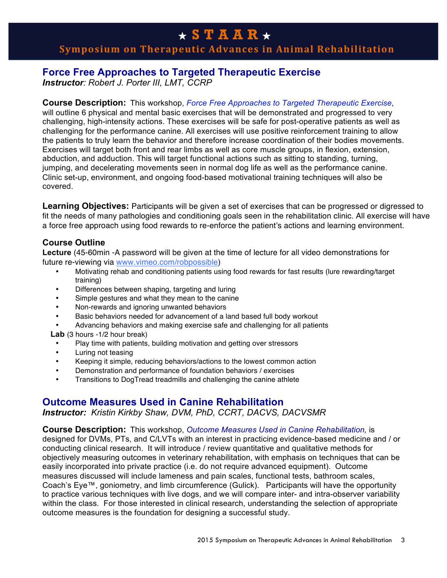# **Symposium on Therapeutic Advances in Animal Rehabilitation**

## **Force Free Approaches to Targeted Therapeutic Exercise**

*Instructor: Robert J. Porter III, LMT, CCRP*

## **Course Description:** This workshop, *Force Free Approaches to Targeted Therapeutic Exercise*,

will outline 6 physical and mental basic exercises that will be demonstrated and progressed to very challenging, high-intensity actions. These exercises will be safe for post-operative patients as well as challenging for the performance canine. All exercises will use positive reinforcement training to allow the patients to truly learn the behavior and therefore increase coordination of their bodies movements. Exercises will target both front and rear limbs as well as core muscle groups, in flexion, extension, abduction, and adduction. This will target functional actions such as sitting to standing, turning, jumping, and decelerating movements seen in normal dog life as well as the performance canine. Clinic set-up, environment, and ongoing food-based motivational training techniques will also be covered.

**Learning Objectives:** Participants will be given a set of exercises that can be progressed or digressed to fit the needs of many pathologies and conditioning goals seen in the rehabilitation clinic. All exercise will have a force free approach using food rewards to re-enforce the patient's actions and learning environment.

## **Course Outline**

**Lecture** (45-60min -A password will be given at the time of lecture for all video demonstrations for future re-viewing via www.vimeo.com/robpossible)

- Motivating rehab and conditioning patients using food rewards for fast results (lure rewarding/target training)
- Differences between shaping, targeting and luring
- Simple gestures and what they mean to the canine
- Non-rewards and ignoring unwanted behaviors
- Basic behaviors needed for advancement of a land based full body workout
- Advancing behaviors and making exercise safe and challenging for all patients
- **Lab** (3 hours -1/2 hour break)
	- Play time with patients, building motivation and getting over stressors
- Luring not teasing
- Keeping it simple, reducing behaviors/actions to the lowest common action
- Demonstration and performance of foundation behaviors / exercises
- Transitions to DogTread treadmills and challenging the canine athlete

## **Outcome Measures Used in Canine Rehabilitation**

*Instructor: Kristin Kirkby Shaw, DVM, PhD, CCRT, DACVS, DACVSMR*

### **Course Description:** This workshop, *Outcome Measures Used in Canine Rehabilitation,* is

designed for DVMs, PTs, and C/LVTs with an interest in practicing evidence-based medicine and / or conducting clinical research. It will introduce / review quantitative and qualitative methods for objectively measuring outcomes in veterinary rehabilitation, with emphasis on techniques that can be easily incorporated into private practice (i.e. do not require advanced equipment). Outcome measures discussed will include lameness and pain scales, functional tests, bathroom scales, Coach's Eye™, goniometry, and limb circumference (Gulick). Participants will have the opportunity to practice various techniques with live dogs, and we will compare inter- and intra-observer variability within the class. For those interested in clinical research, understanding the selection of appropriate outcome measures is the foundation for designing a successful study.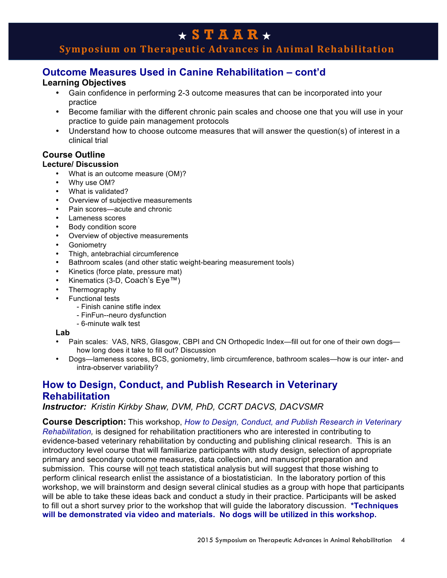# **Symposium on Therapeutic Advances in Animal Rehabilitation**

## **Outcome Measures Used in Canine Rehabilitation – cont'd**

### **Learning Objectives**

- Gain confidence in performing 2-3 outcome measures that can be incorporated into your practice
- Become familiar with the different chronic pain scales and choose one that you will use in your practice to guide pain management protocols
- Understand how to choose outcome measures that will answer the question(s) of interest in a clinical trial

# **Course Outline**

## **Lecture/ Discussion**

- What is an outcome measure (OM)?
- Why use OM?
- What is validated?
- Overview of subjective measurements
- Pain scores—acute and chronic
- Lameness scores
- Body condition score
- Overview of objective measurements
- Goniometry
- Thigh, antebrachial circumference
- Bathroom scales (and other static weight-bearing measurement tools)
- Kinetics (force plate, pressure mat)
- Kinematics (3-D, Coach's Eye™)
- **Thermography**
- Functional tests
	- Finish canine stifle index
	- FinFun--neuro dysfunction
	- 6-minute walk test

#### **Lab**

- Pain scales: VAS, NRS, Glasgow, CBPI and CN Orthopedic Index—fill out for one of their own dogs how long does it take to fill out? Discussion
- Dogs—lameness scores, BCS, goniometry, limb circumference, bathroom scales—how is our inter- and intra-observer variability?

## **How to Design, Conduct, and Publish Research in Veterinary Rehabilitation**

*Instructor: Kristin Kirkby Shaw, DVM, PhD, CCRT DACVS, DACVSMR*

**Course Description:** This workshop, *How to Design, Conduct, and Publish Research in Veterinary Rehabilitation,* is designed for rehabilitation practitioners who are interested in contributing to evidence-based veterinary rehabilitation by conducting and publishing clinical research. This is an introductory level course that will familiarize participants with study design, selection of appropriate primary and secondary outcome measures, data collection, and manuscript preparation and submission. This course will not teach statistical analysis but will suggest that those wishing to perform clinical research enlist the assistance of a biostatistician. In the laboratory portion of this workshop, we will brainstorm and design several clinical studies as a group with hope that participants will be able to take these ideas back and conduct a study in their practice. Participants will be asked to fill out a short survey prior to the workshop that will guide the laboratory discussion. **\*Techniques will be demonstrated via video and materials. No dogs will be utilized in this workshop.**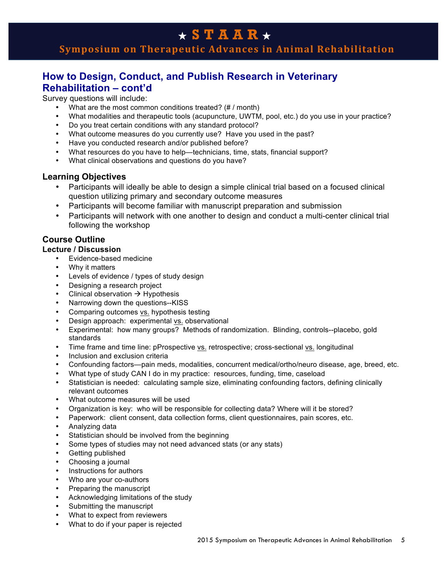# **Symposium on Therapeutic Advances in Animal Rehabilitation**

# **How to Design, Conduct, and Publish Research in Veterinary Rehabilitation – cont'd**

Survey questions will include:

- What are the most common conditions treated? (# / month)
- What modalities and therapeutic tools (acupuncture, UWTM, pool, etc.) do you use in your practice?
- Do you treat certain conditions with any standard protocol?
- What outcome measures do you currently use? Have you used in the past?
- Have you conducted research and/or published before?
- What resources do you have to help—technicians, time, stats, financial support?
- What clinical observations and questions do you have?

### **Learning Objectives**

- Participants will ideally be able to design a simple clinical trial based on a focused clinical question utilizing primary and secondary outcome measures
- Participants will become familiar with manuscript preparation and submission
- Participants will network with one another to design and conduct a multi-center clinical trial following the workshop

## **Course Outline**

#### **Lecture / Discussion**

- Evidence-based medicine
- Why it matters
- Levels of evidence / types of study design
- Designing a research project
- Clinical observation  $\rightarrow$  Hypothesis
- Narrowing down the questions--KISS
- Comparing outcomes vs. hypothesis testing
- Design approach: experimental vs. observational
- Experimental: how many groups? Methods of randomization. Blinding, controls--placebo, gold standards
- Time frame and time line: pProspective vs. retrospective; cross-sectional vs. longitudinal
- Inclusion and exclusion criteria
- Confounding factors—pain meds, modalities, concurrent medical/ortho/neuro disease, age, breed, etc.
- What type of study CAN I do in my practice: resources, funding, time, caseload
- Statistician is needed: calculating sample size, eliminating confounding factors, defining clinically relevant outcomes
- What outcome measures will be used
- Organization is key: who will be responsible for collecting data? Where will it be stored?
- Paperwork: client consent, data collection forms, client questionnaires, pain scores, etc.
- Analyzing data
- Statistician should be involved from the beginning
- Some types of studies may not need advanced stats (or any stats)
- Getting published
- Choosing a journal
- Instructions for authors
- Who are your co-authors
- Preparing the manuscript
- Acknowledging limitations of the study
- Submitting the manuscript
- What to expect from reviewers
- What to do if your paper is rejected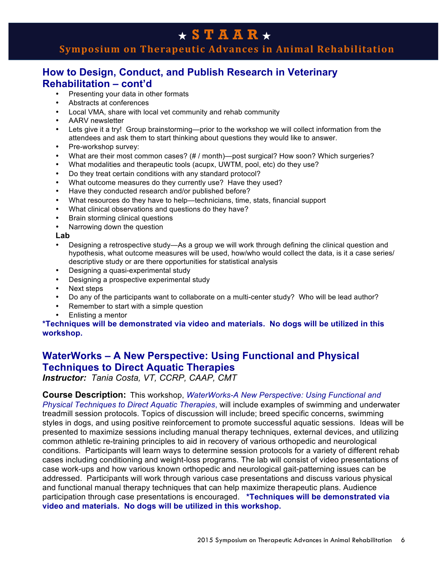# **Symposium on Therapeutic Advances in Animal Rehabilitation**

# **How to Design, Conduct, and Publish Research in Veterinary Rehabilitation – cont'd**

- Presenting your data in other formats
- Abstracts at conferences
- Local VMA, share with local vet community and rehab community
- AARV newsletter
- Lets give it a try! Group brainstorming—prior to the workshop we will collect information from the attendees and ask them to start thinking about questions they would like to answer.
- Pre-workshop survey:
- What are their most common cases? (# / month)—post surgical? How soon? Which surgeries?
- What modalities and therapeutic tools (acupx, UWTM, pool, etc) do they use?
- Do they treat certain conditions with any standard protocol?
- What outcome measures do they currently use? Have they used?
- Have they conducted research and/or published before?
- What resources do they have to help—technicians, time, stats, financial support
- What clinical observations and questions do they have?
- Brain storming clinical questions
- Narrowing down the question

**Lab**

- Designing a retrospective study—As a group we will work through defining the clinical question and hypothesis, what outcome measures will be used, how/who would collect the data, is it a case series/ descriptive study or are there opportunities for statistical analysis
- Designing a quasi-experimental study
- Designing a prospective experimental study
- Next steps
- Do any of the participants want to collaborate on a multi-center study? Who will be lead author?
- Remember to start with a simple question
- Enlisting a mentor

#### **\*Techniques will be demonstrated via video and materials. No dogs will be utilized in this workshop.**

# **WaterWorks – A New Perspective: Using Functional and Physical Techniques to Direct Aquatic Therapies**

*Instructor: Tania Costa, VT, CCRP, CAAP, CMT*

### **Course Description:** This workshop, *WaterWorks-A New Perspective: Using Functional and*

*Physical Techniques to Direct Aquatic Therapies*, will include examples of swimming and underwater treadmill session protocols. Topics of discussion will include; breed specific concerns, swimming styles in dogs, and using positive reinforcement to promote successful aquatic sessions. Ideas will be presented to maximize sessions including manual therapy techniques, external devices, and utilizing common athletic re-training principles to aid in recovery of various orthopedic and neurological conditions. Participants will learn ways to determine session protocols for a variety of different rehab cases including conditioning and weight-loss programs. The lab will consist of video presentations of case work-ups and how various known orthopedic and neurological gait-patterning issues can be addressed. Participants will work through various case presentations and discuss various physical and functional manual therapy techniques that can help maximize therapeutic plans. Audience participation through case presentations is encouraged. **\*Techniques will be demonstrated via video and materials. No dogs will be utilized in this workshop.**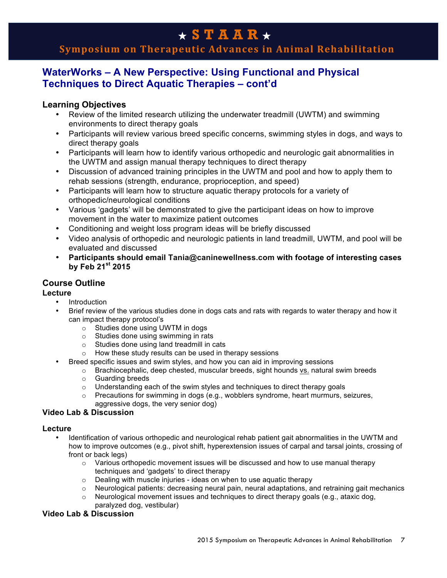# **Symposium on Therapeutic Advances in Animal Rehabilitation**

# **WaterWorks – A New Perspective: Using Functional and Physical Techniques to Direct Aquatic Therapies – cont'd**

## **Learning Objectives**

- Review of the limited research utilizing the underwater treadmill (UWTM) and swimming environments to direct therapy goals
- Participants will review various breed specific concerns, swimming styles in dogs, and ways to direct therapy goals
- Participants will learn how to identify various orthopedic and neurologic gait abnormalities in the UWTM and assign manual therapy techniques to direct therapy
- Discussion of advanced training principles in the UWTM and pool and how to apply them to rehab sessions (strength, endurance, proprioception, and speed)
- Participants will learn how to structure aquatic therapy protocols for a variety of orthopedic/neurological conditions
- Various 'gadgets' will be demonstrated to give the participant ideas on how to improve movement in the water to maximize patient outcomes
- Conditioning and weight loss program ideas will be briefly discussed
- Video analysis of orthopedic and neurologic patients in land treadmill, UWTM, and pool will be evaluated and discussed
- **Participants should email Tania@caninewellness.com with footage of interesting cases by Feb 21st 2015**

## **Course Outline**

### **Lecture**

- Introduction
- Brief review of the various studies done in dogs cats and rats with regards to water therapy and how it can impact therapy protocol's
	- o Studies done using UWTM in dogs
	- o Studies done using swimming in rats
	- o Studies done using land treadmill in cats
	- o How these study results can be used in therapy sessions
- Breed specific issues and swim styles, and how you can aid in improving sessions
	- $\circ$  Brachiocephalic, deep chested, muscular breeds, sight hounds vs. natural swim breeds
	- o Guarding breeds
	- $\circ$  Understanding each of the swim styles and techniques to direct therapy goals
	- $\circ$  Precautions for swimming in dogs (e.g., wobblers syndrome, heart murmurs, seizures, aggressive dogs, the very senior dog)

### **Video Lab & Discussion**

### **Lecture**

- Identification of various orthopedic and neurological rehab patient gait abnormalities in the UWTM and how to improve outcomes (e.g., pivot shift, hyperextension issues of carpal and tarsal joints, crossing of front or back legs)
	- $\circ$  Various orthopedic movement issues will be discussed and how to use manual therapy techniques and 'gadgets' to direct therapy
	- $\circ$  Dealing with muscle injuries ideas on when to use aquatic therapy
	- $\circ$  Neurological patients: decreasing neural pain, neural adaptations, and retraining gait mechanics
	- $\circ$  Neurological movement issues and techniques to direct therapy goals (e.g., ataxic dog, paralyzed dog, vestibular)

### **Video Lab & Discussion**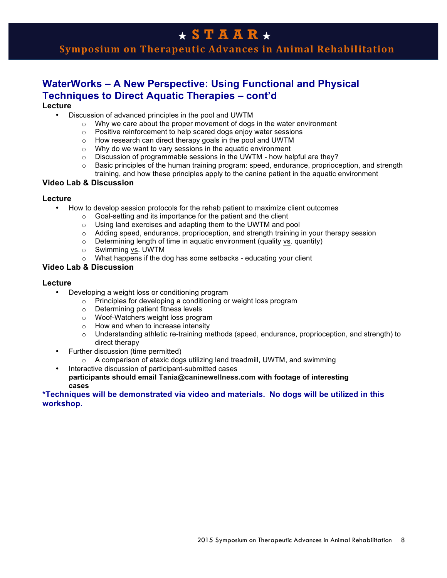# **Symposium on Therapeutic Advances in Animal Rehabilitation**

# **WaterWorks – A New Perspective: Using Functional and Physical Techniques to Direct Aquatic Therapies – cont'd**

### **Lecture**

- Discussion of advanced principles in the pool and UWTM
	- $\circ$  Why we care about the proper movement of dogs in the water environment
	- o Positive reinforcement to help scared dogs enjoy water sessions
	- o How research can direct therapy goals in the pool and UWTM
	- $\circ$  Why do we want to vary sessions in the aquatic environment  $\circ$  Discussion of programmable sessions in the UWTM how he
	- Discussion of programmable sessions in the UWTM how helpful are they?
	- $\circ$  Basic principles of the human training program: speed, endurance, proprioception, and strength training, and how these principles apply to the canine patient in the aquatic environment

#### **Video Lab & Discussion**

#### **Lecture**

- How to develop session protocols for the rehab patient to maximize client outcomes
	- o Goal-setting and its importance for the patient and the client
	- o Using land exercises and adapting them to the UWTM and pool
	- $\circ$  Adding speed, endurance, proprioception, and strength training in your therapy session
	- $\circ$  Determining length of time in aquatic environment (quality <u>vs</u>. quantity)  $\circ$  Swimming vs. UWTM
	- Swimming vs. UWTM
	- $\circ$  What happens if the dog has some setbacks educating your client

#### **Video Lab & Discussion**

#### **Lecture**

- Developing a weight loss or conditioning program
	- o Principles for developing a conditioning or weight loss program
	- o Determining patient fitness levels
	- o Woof-Watchers weight loss program
	- o How and when to increase intensity
	- o Understanding athletic re-training methods (speed, endurance, proprioception, and strength) to direct therapy
- Further discussion (time permitted)
	- $\circ$  A comparison of ataxic dogs utilizing land treadmill, UWTM, and swimming
- Interactive discussion of participant-submitted cases **participants should email Tania@caninewellness.com with footage of interesting cases**

#### **\*Techniques will be demonstrated via video and materials. No dogs will be utilized in this workshop.**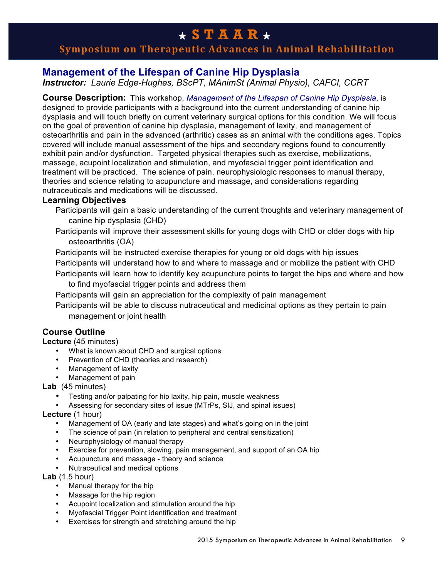# **Symposium on Therapeutic Advances in Animal Rehabilitation**

# **Management of the Lifespan of Canine Hip Dysplasia**

*Instructor: Laurie Edge-Hughes, BScPT, MAnimSt (Animal Physio), CAFCI, CCRT*

**Course Description:** This workshop, *Management of the Lifespan of Canine Hip Dysplasia*, is designed to provide participants with a background into the current understanding of canine hip dysplasia and will touch briefly on current veterinary surgical options for this condition. We will focus on the goal of prevention of canine hip dysplasia, management of laxity, and management of osteoarthritis and pain in the advanced (arthritic) cases as an animal with the conditions ages. Topics covered will include manual assessment of the hips and secondary regions found to concurrently exhibit pain and/or dysfunction. Targeted physical therapies such as exercise, mobilizations, massage, acupoint localization and stimulation, and myofascial trigger point identification and treatment will be practiced. The science of pain, neurophysiologic responses to manual therapy, theories and science relating to acupuncture and massage, and considerations regarding nutraceuticals and medications will be discussed.

### **Learning Objectives**

- Participants will gain a basic understanding of the current thoughts and veterinary management of canine hip dysplasia (CHD)
- Participants will improve their assessment skills for young dogs with CHD or older dogs with hip osteoarthritis (OA)

Participants will be instructed exercise therapies for young or old dogs with hip issues

- Participants will understand how to and where to massage and or mobilize the patient with CHD
- Participants will learn how to identify key acupuncture points to target the hips and where and how to find myofascial trigger points and address them
- Participants will gain an appreciation for the complexity of pain management

Participants will be able to discuss nutraceutical and medicinal options as they pertain to pain management or joint health

## **Course Outline**

### **Lecture** (45 minutes)

- What is known about CHD and surgical options
- Prevention of CHD (theories and research)
- Management of laxity
- Management of pain

### **Lab** (45 minutes)

- Testing and/or palpating for hip laxity, hip pain, muscle weakness
- Assessing for secondary sites of issue (MTrPs, SIJ, and spinal issues)

### **Lecture** (1 hour)

- Management of OA (early and late stages) and what's going on in the joint
- The science of pain (in relation to peripheral and central sensitization)
- Neurophysiology of manual therapy
- Exercise for prevention, slowing, pain management, and support of an OA hip
- Acupuncture and massage theory and science
- Nutraceutical and medical options

**Lab** (1.5 hour)

- Manual therapy for the hip
- Massage for the hip region
- Acupoint localization and stimulation around the hip
- Myofascial Trigger Point identification and treatment
- Exercises for strength and stretching around the hip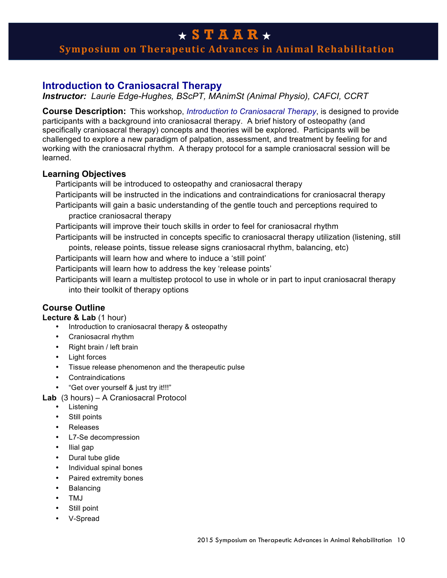# **Symposium on Therapeutic Advances in Animal Rehabilitation**

## **Introduction to Craniosacral Therapy**

*Instructor: Laurie Edge-Hughes, BScPT, MAnimSt (Animal Physio), CAFCI, CCRT*

**Course Description:** This workshop, *Introduction to Craniosacral Therapy*, is designed to provide participants with a background into craniosacral therapy. A brief history of osteopathy (and specifically craniosacral therapy) concepts and theories will be explored. Participants will be challenged to explore a new paradigm of palpation, assessment, and treatment by feeling for and working with the craniosacral rhythm. A therapy protocol for a sample craniosacral session will be learned.

### **Learning Objectives**

Participants will be introduced to osteopathy and craniosacral therapy

- Participants will be instructed in the indications and contraindications for craniosacral therapy
- Participants will gain a basic understanding of the gentle touch and perceptions required to practice craniosacral therapy
- Participants will improve their touch skills in order to feel for craniosacral rhythm

Participants will be instructed in concepts specific to craniosacral therapy utilization (listening, still points, release points, tissue release signs craniosacral rhythm, balancing, etc)

Participants will learn how and where to induce a 'still point'

Participants will learn how to address the key 'release points'

Participants will learn a multistep protocol to use in whole or in part to input craniosacral therapy into their toolkit of therapy options

## **Course Outline**

**Lecture & Lab** (1 hour)

- Introduction to craniosacral therapy & osteopathy
- Craniosacral rhythm
- Right brain / left brain
- Light forces
- Tissue release phenomenon and the therapeutic pulse
- Contraindications
- "Get over yourself & just try it!!!"
- **Lab** (3 hours) A Craniosacral Protocol
	- Listening
	- Still points
	- Releases
	- L7-Se decompression
	- Ilial gap
	- Dural tube glide
	- Individual spinal bones
	- Paired extremity bones
	- Balancing
	- TMJ
	- Still point
	- V-Spread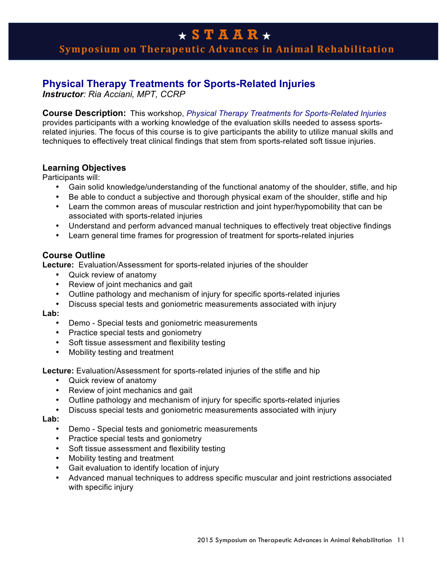**Symposium on Therapeutic Advances in Animal Rehabilitation** 

## **Physical Therapy Treatments for Sports-Related Injuries**

*Instructor: Ria Acciani, MPT, CCRP*

**Course Description:** This workshop, *Physical Therapy Treatments for Sports-Related Injuries* provides participants with a working knowledge of the evaluation skills needed to assess sportsrelated injuries. The focus of this course is to give participants the ability to utilize manual skills and techniques to effectively treat clinical findings that stem from sports-related soft tissue injuries.

### **Learning Objectives**

Participants will:

- Gain solid knowledge/understanding of the functional anatomy of the shoulder, stifle, and hip
- Be able to conduct a subjective and thorough physical exam of the shoulder, stifle and hip
- Learn the common areas of muscular restriction and joint hyper/hypomobility that can be associated with sports-related injuries
- Understand and perform advanced manual techniques to effectively treat objective findings
- Learn general time frames for progression of treatment for sports-related injuries

### **Course Outline**

**Lecture:** Evaluation/Assessment for sports-related injuries of the shoulder

- Quick review of anatomy
- Review of joint mechanics and gait
- Outline pathology and mechanism of injury for specific sports-related injuries
- Discuss special tests and goniometric measurements associated with injury

**Lab:** 

- Demo Special tests and goniometric measurements
- Practice special tests and goniometry
- Soft tissue assessment and flexibility testing
- Mobility testing and treatment

**Lecture:** Evaluation/Assessment for sports-related injuries of the stifle and hip

- Quick review of anatomy
- Review of joint mechanics and gait
- Outline pathology and mechanism of injury for specific sports-related injuries
- Discuss special tests and goniometric measurements associated with injury

**Lab:**

- Demo Special tests and goniometric measurements
- Practice special tests and goniometry
- Soft tissue assessment and flexibility testing
- Mobility testing and treatment
- Gait evaluation to identify location of injury
- Advanced manual techniques to address specific muscular and joint restrictions associated with specific injury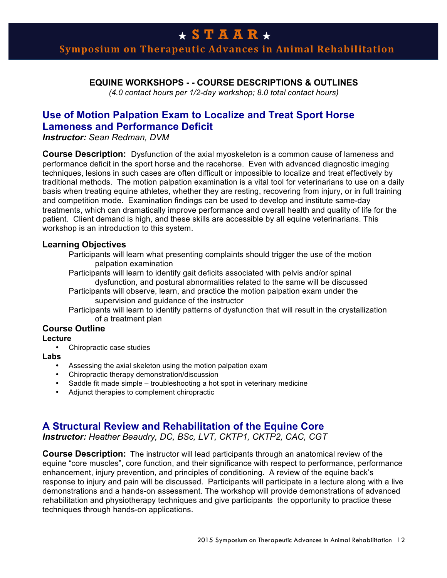# **Symposium on Therapeutic Advances in Animal Rehabilitation**

### **EQUINE WORKSHOPS - - COURSE DESCRIPTIONS & OUTLINES**

*(4.0 contact hours per 1/2-day workshop; 8.0 total contact hours)*

## **Use of Motion Palpation Exam to Localize and Treat Sport Horse Lameness and Performance Deficit**

*Instructor: Sean Redman, DVM*

**Course Description:** Dysfunction of the axial myoskeleton is a common cause of lameness and performance deficit in the sport horse and the racehorse. Even with advanced diagnostic imaging techniques, lesions in such cases are often difficult or impossible to localize and treat effectively by traditional methods. The motion palpation examination is a vital tool for veterinarians to use on a daily basis when treating equine athletes, whether they are resting, recovering from injury, or in full training and competition mode. Examination findings can be used to develop and institute same-day treatments, which can dramatically improve performance and overall health and quality of life for the patient. Client demand is high, and these skills are accessible by all equine veterinarians. This workshop is an introduction to this system.

#### **Learning Objectives**

Participants will learn what presenting complaints should trigger the use of the motion palpation examination

- Participants will learn to identify gait deficits associated with pelvis and/or spinal dysfunction, and postural abnormalities related to the same will be discussed
- Participants will observe, learn, and practice the motion palpation exam under the supervision and guidance of the instructor
- Participants will learn to identify patterns of dysfunction that will result in the crystallization of a treatment plan

## **Course Outline**

#### **Lecture**

• Chiropractic case studies

#### **Labs**

- Assessing the axial skeleton using the motion palpation exam
- Chiropractic therapy demonstration/discussion
- Saddle fit made simple troubleshooting a hot spot in veterinary medicine
- Adjunct therapies to complement chiropractic

## **A Structural Review and Rehabilitation of the Equine Core**

*Instructor: Heather Beaudry, DC, BSc, LVT, CKTP1, CKTP2, CAC, CGT*

**Course Description:** The instructor will lead participants through an anatomical review of the equine "core muscles", core function, and their significance with respect to performance, performance enhancement, injury prevention, and principles of conditioning. A review of the equine back's response to injury and pain will be discussed. Participants will participate in a lecture along with a live demonstrations and a hands-on assessment. The workshop will provide demonstrations of advanced rehabilitation and physiotherapy techniques and give participants the opportunity to practice these techniques through hands-on applications.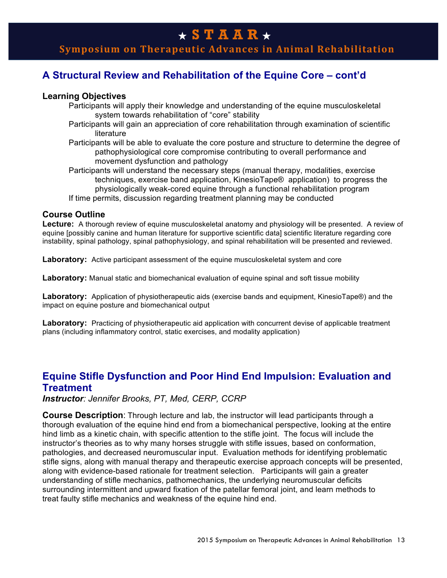# **Symposium on Therapeutic Advances in Animal Rehabilitation**

# **A Structural Review and Rehabilitation of the Equine Core – cont'd**

### **Learning Objectives**

- Participants will apply their knowledge and understanding of the equine musculoskeletal system towards rehabilitation of "core" stability
- Participants will gain an appreciation of core rehabilitation through examination of scientific literature
- Participants will be able to evaluate the core posture and structure to determine the degree of pathophysiological core compromise contributing to overall performance and movement dysfunction and pathology
- Participants will understand the necessary steps (manual therapy, modalities, exercise techniques, exercise band application, KinesioTape® application) to progress the physiologically weak-cored equine through a functional rehabilitation program
- If time permits, discussion regarding treatment planning may be conducted

### **Course Outline**

**Lecture:** A thorough review of equine musculoskeletal anatomy and physiology will be presented. A review of equine [possibly canine and human literature for supportive scientific data] scientific literature regarding core instability, spinal pathology, spinal pathophysiology, and spinal rehabilitation will be presented and reviewed.

**Laboratory:** Active participant assessment of the equine musculoskeletal system and core

**Laboratory:** Manual static and biomechanical evaluation of equine spinal and soft tissue mobility

**Laboratory:** Application of physiotherapeutic aids (exercise bands and equipment, KinesioTape®) and the impact on equine posture and biomechanical output

Laboratory: Practicing of physiotherapeutic aid application with concurrent devise of applicable treatment plans (including inflammatory control, static exercises, and modality application)

# **Equine Stifle Dysfunction and Poor Hind End Impulsion: Evaluation and Treatment**

*Instructor: Jennifer Brooks, PT, Med, CERP, CCRP*

**Course Description**: Through lecture and lab, the instructor will lead participants through a thorough evaluation of the equine hind end from a biomechanical perspective, looking at the entire hind limb as a kinetic chain, with specific attention to the stifle joint. The focus will include the instructor's theories as to why many horses struggle with stifle issues, based on conformation, pathologies, and decreased neuromuscular input. Evaluation methods for identifying problematic stifle signs, along with manual therapy and therapeutic exercise approach concepts will be presented, along with evidence-based rationale for treatment selection. Participants will gain a greater understanding of stifle mechanics, pathomechanics, the underlying neuromuscular deficits surrounding intermittent and upward fixation of the patellar femoral joint, and learn methods to treat faulty stifle mechanics and weakness of the equine hind end.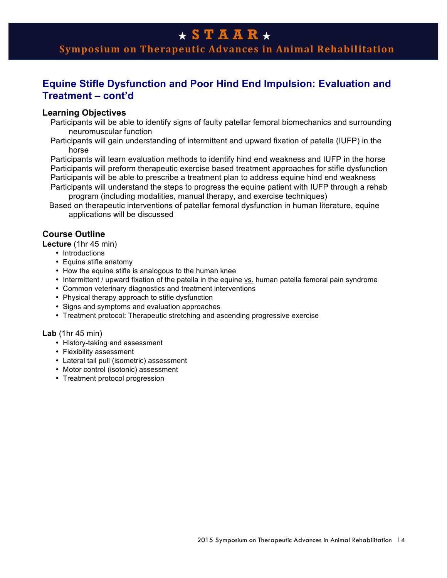**Symposium on Therapeutic Advances in Animal Rehabilitation**

# **Equine Stifle Dysfunction and Poor Hind End Impulsion: Evaluation and Treatment – cont'd**

#### **Learning Objectives**

Participants will be able to identify signs of faulty patellar femoral biomechanics and surrounding neuromuscular function

Participants will gain understanding of intermittent and upward fixation of patella (IUFP) in the horse

Participants will learn evaluation methods to identify hind end weakness and IUFP in the horse Participants will preform therapeutic exercise based treatment approaches for stifle dysfunction Participants will be able to prescribe a treatment plan to address equine hind end weakness Participants will understand the steps to progress the equine patient with IUFP through a rehab

program (including modalities, manual therapy, and exercise techniques)

 Based on therapeutic interventions of patellar femoral dysfunction in human literature, equine applications will be discussed

## **Course Outline**

**Lecture** (1hr 45 min)

- Introductions
- Equine stifle anatomy
- How the equine stifle is analogous to the human knee
- Intermittent / upward fixation of the patella in the equine vs. human patella femoral pain syndrome
- Common veterinary diagnostics and treatment interventions
- Physical therapy approach to stifle dysfunction
- Signs and symptoms and evaluation approaches
- Treatment protocol: Therapeutic stretching and ascending progressive exercise

#### **Lab** (1hr 45 min)

- History-taking and assessment
- Flexibility assessment
- Lateral tail pull (isometric) assessment
- Motor control (isotonic) assessment
- Treatment protocol progression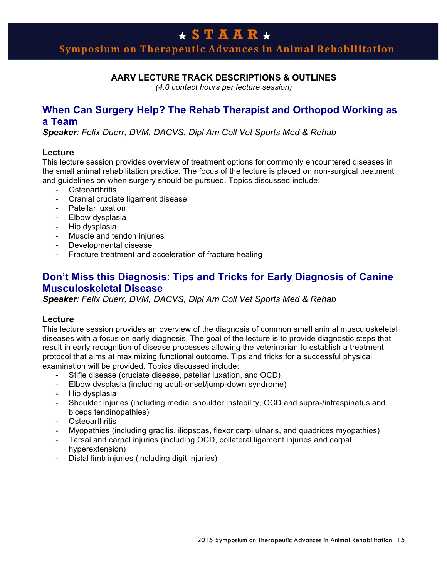# **Symposium on Therapeutic Advances in Animal Rehabilitation**

## **AARV LECTURE TRACK DESCRIPTIONS & OUTLINES**

*(4.0 contact hours per lecture session)*

## **When Can Surgery Help? The Rehab Therapist and Orthopod Working as a Team**

*Speaker: Felix Duerr, DVM, DACVS, Dipl Am Coll Vet Sports Med & Rehab*

### **Lecture**

This lecture session provides overview of treatment options for commonly encountered diseases in the small animal rehabilitation practice. The focus of the lecture is placed on non-surgical treatment and guidelines on when surgery should be pursued. Topics discussed include:

- Osteoarthritis
- Cranial cruciate ligament disease
- Patellar luxation
- Elbow dysplasia
- Hip dysplasia
- Muscle and tendon injuries
- Developmental disease
- Fracture treatment and acceleration of fracture healing

## **Don't Miss this Diagnosis: Tips and Tricks for Early Diagnosis of Canine Musculoskeletal Disease**

*Speaker: Felix Duerr, DVM, DACVS, Dipl Am Coll Vet Sports Med & Rehab*

### **Lecture**

This lecture session provides an overview of the diagnosis of common small animal musculoskeletal diseases with a focus on early diagnosis. The goal of the lecture is to provide diagnostic steps that result in early recognition of disease processes allowing the veterinarian to establish a treatment protocol that aims at maximizing functional outcome. Tips and tricks for a successful physical examination will be provided. Topics discussed include:

- Stifle disease (cruciate disease, patellar luxation, and OCD)
- Elbow dysplasia (including adult-onset/jump-down syndrome)
- Hip dysplasia
- Shoulder injuries (including medial shoulder instability, OCD and supra-/infraspinatus and biceps tendinopathies)
- Osteoarthritis
- Myopathies (including gracilis, iliopsoas, flexor carpi ulnaris, and quadrices myopathies)
- Tarsal and carpal injuries (including OCD, collateral ligament injuries and carpal hyperextension)
- Distal limb injuries (including digit injuries)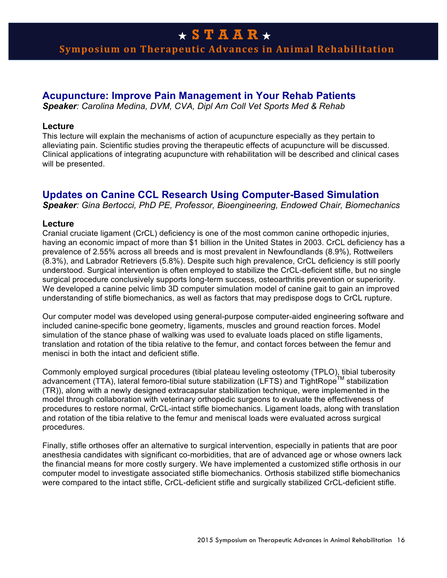# **Symposium on Therapeutic Advances in Animal Rehabilitation**

## **Acupuncture: Improve Pain Management in Your Rehab Patients**

*Speaker: Carolina Medina, DVM, CVA, Dipl Am Coll Vet Sports Med & Rehab*

#### **Lecture**

This lecture will explain the mechanisms of action of acupuncture especially as they pertain to alleviating pain. Scientific studies proving the therapeutic effects of acupuncture will be discussed. Clinical applications of integrating acupuncture with rehabilitation will be described and clinical cases will be presented.

## **Updates on Canine CCL Research Using Computer-Based Simulation**

*Speaker: Gina Bertocci, PhD PE, Professor, Bioengineering, Endowed Chair, Biomechanics*

#### **Lecture**

Cranial cruciate ligament (CrCL) deficiency is one of the most common canine orthopedic injuries, having an economic impact of more than \$1 billion in the United States in 2003. CrCL deficiency has a prevalence of 2.55% across all breeds and is most prevalent in Newfoundlands (8.9%), Rottweilers (8.3%), and Labrador Retrievers (5.8%). Despite such high prevalence, CrCL deficiency is still poorly understood. Surgical intervention is often employed to stabilize the CrCL-deficient stifle, but no single surgical procedure conclusively supports long-term success, osteoarthritis prevention or superiority. We developed a canine pelvic limb 3D computer simulation model of canine gait to gain an improved understanding of stifle biomechanics, as well as factors that may predispose dogs to CrCL rupture.

Our computer model was developed using general-purpose computer-aided engineering software and included canine-specific bone geometry, ligaments, muscles and ground reaction forces. Model simulation of the stance phase of walking was used to evaluate loads placed on stifle ligaments, translation and rotation of the tibia relative to the femur, and contact forces between the femur and menisci in both the intact and deficient stifle.

Commonly employed surgical procedures (tibial plateau leveling osteotomy (TPLO), tibial tuberosity advancement (TTA), lateral femoro-tibial suture stabilization (LFTS) and TightRope<sup>TM</sup> stabilization (TR)), along with a newly designed extracapsular stabilization technique, were implemented in the model through collaboration with veterinary orthopedic surgeons to evaluate the effectiveness of procedures to restore normal, CrCL-intact stifle biomechanics. Ligament loads, along with translation and rotation of the tibia relative to the femur and meniscal loads were evaluated across surgical procedures.

Finally, stifle orthoses offer an alternative to surgical intervention, especially in patients that are poor anesthesia candidates with significant co-morbidities, that are of advanced age or whose owners lack the financial means for more costly surgery. We have implemented a customized stifle orthosis in our computer model to investigate associated stifle biomechanics. Orthosis stabilized stifle biomechanics were compared to the intact stifle, CrCL-deficient stifle and surgically stabilized CrCL-deficient stifle.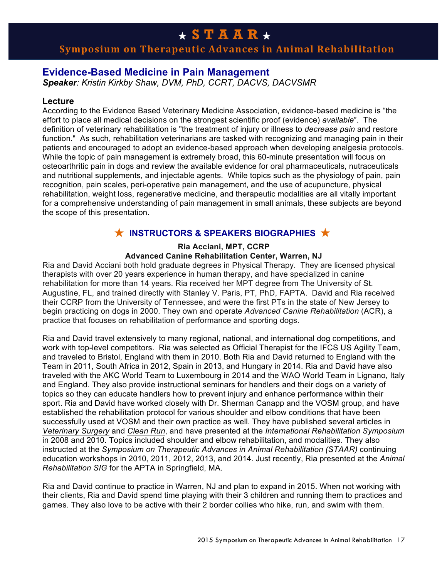# **Symposium on Therapeutic Advances in Animal Rehabilitation**

## **Evidence-Based Medicine in Pain Management**

*Speaker: Kristin Kirkby Shaw, DVM, PhD, CCRT, DACVS, DACVSMR*

### **Lecture**

According to the Evidence Based Veterinary Medicine Association, evidence-based medicine is "the effort to place all medical decisions on the strongest scientific proof (evidence) *available*". The definition of veterinary rehabilitation is "the treatment of injury or illness to *decrease pain* and restore function." As such, rehabilitation veterinarians are tasked with recognizing and managing pain in their patients and encouraged to adopt an evidence-based approach when developing analgesia protocols. While the topic of pain management is extremely broad, this 60-minute presentation will focus on osteoarthritic pain in dogs and review the available evidence for oral pharmaceuticals, nutraceuticals and nutritional supplements, and injectable agents. While topics such as the physiology of pain, pain recognition, pain scales, peri-operative pain management, and the use of acupuncture, physical rehabilitation, weight loss, regenerative medicine, and therapeutic modalities are all vitally important for a comprehensive understanding of pain management in small animals, these subjects are beyond the scope of this presentation.

# ★ **INSTRUCTORS & SPEAKERS BIOGRAPHIES** ★

### **Ria Acciani, MPT, CCRP**

### **Advanced Canine Rehabilitation Center, Warren, NJ**

Ria and David Acciani both hold graduate degrees in Physical Therapy. They are licensed physical therapists with over 20 years experience in human therapy, and have specialized in canine rehabilitation for more than 14 years. Ria received her MPT degree from The University of St. Augustine, FL, and trained directly with Stanley V. Paris, PT, PhD, FAPTA. David and Ria received their CCRP from the University of Tennessee, and were the first PTs in the state of New Jersey to begin practicing on dogs in 2000. They own and operate *Advanced Canine Rehabilitation* (ACR), a practice that focuses on rehabilitation of performance and sporting dogs.

Ria and David travel extensively to many regional, national, and international dog competitions, and work with top-level competitors. Ria was selected as Official Therapist for the IFCS US Agility Team, and traveled to Bristol, England with them in 2010. Both Ria and David returned to England with the Team in 2011, South Africa in 2012, Spain in 2013, and Hungary in 2014. Ria and David have also traveled with the AKC World Team to Luxembourg in 2014 and the WAO World Team in Lignano, Italy and England. They also provide instructional seminars for handlers and their dogs on a variety of topics so they can educate handlers how to prevent injury and enhance performance within their sport. Ria and David have worked closely with Dr. Sherman Canapp and the VOSM group, and have established the rehabilitation protocol for various shoulder and elbow conditions that have been successfully used at VOSM and their own practice as well. They have published several articles in *Veterinary Surgery* and *Clean Run*, and have presented at the *International Rehabilitation Symposium*  in 2008 and 2010. Topics included shoulder and elbow rehabilitation, and modalities. They also instructed at the *Symposium on Therapeutic Advances in Animal Rehabilitation (STAAR)* continuing education workshops in 2010, 2011, 2012, 2013, and 2014. Just recently, Ria presented at the *Animal Rehabilitation SIG* for the APTA in Springfield, MA.

Ria and David continue to practice in Warren, NJ and plan to expand in 2015. When not working with their clients, Ria and David spend time playing with their 3 children and running them to practices and games. They also love to be active with their 2 border collies who hike, run, and swim with them.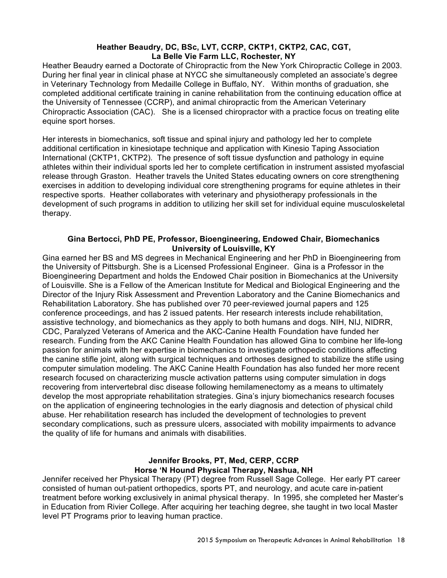#### **Heather Beaudry, DC, BSc, LVT, CCRP, CKTP1, CKTP2, CAC, CGT, La Belle Vie Farm LLC, Rochester, NY**

Heather Beaudry earned a Doctorate of Chiropractic from the New York Chiropractic College in 2003. During her final year in clinical phase at NYCC she simultaneously completed an associate's degree in Veterinary Technology from Medaille College in Buffalo, NY. Within months of graduation, she completed additional certificate training in canine rehabilitation from the continuing education office at the University of Tennessee (CCRP), and animal chiropractic from the American Veterinary Chiropractic Association (CAC). She is a licensed chiropractor with a practice focus on treating elite equine sport horses.

Her interests in biomechanics, soft tissue and spinal injury and pathology led her to complete additional certification in kinesiotape technique and application with Kinesio Taping Association International (CKTP1, CKTP2). The presence of soft tissue dysfunction and pathology in equine athletes within their individual sports led her to complete certification in instrument assisted myofascial release through Graston. Heather travels the United States educating owners on core strengthening exercises in addition to developing individual core strengthening programs for equine athletes in their respective sports. Heather collaborates with veterinary and physiotherapy professionals in the development of such programs in addition to utilizing her skill set for individual equine musculoskeletal therapy.

### **Gina Bertocci, PhD PE, Professor, Bioengineering, Endowed Chair, Biomechanics University of Louisville, KY**

Gina earned her BS and MS degrees in Mechanical Engineering and her PhD in Bioengineering from the University of Pittsburgh. She is a Licensed Professional Engineer. Gina is a Professor in the Bioengineering Department and holds the Endowed Chair position in Biomechanics at the University of Louisville. She is a Fellow of the American Institute for Medical and Biological Engineering and the Director of the Injury Risk Assessment and Prevention Laboratory and the Canine Biomechanics and Rehabilitation Laboratory. She has published over 70 peer-reviewed journal papers and 125 conference proceedings, and has 2 issued patents. Her research interests include rehabilitation, assistive technology, and biomechanics as they apply to both humans and dogs. NIH, NIJ, NIDRR, CDC, Paralyzed Veterans of America and the AKC-Canine Health Foundation have funded her research. Funding from the AKC Canine Health Foundation has allowed Gina to combine her life-long passion for animals with her expertise in biomechanics to investigate orthopedic conditions affecting the canine stifle joint, along with surgical techniques and orthoses designed to stabilize the stifle using computer simulation modeling. The AKC Canine Health Foundation has also funded her more recent research focused on characterizing muscle activation patterns using computer simulation in dogs recovering from intervertebral disc disease following hemilamenectomy as a means to ultimately develop the most appropriate rehabilitation strategies. Gina's injury biomechanics research focuses on the application of engineering technologies in the early diagnosis and detection of physical child abuse. Her rehabilitation research has included the development of technologies to prevent secondary complications, such as pressure ulcers, associated with mobility impairments to advance the quality of life for humans and animals with disabilities.

## **Jennifer Brooks, PT, Med, CERP, CCRP Horse 'N Hound Physical Therapy, Nashua, NH**

Jennifer received her Physical Therapy (PT) degree from Russell Sage College. Her early PT career consisted of human out-patient orthopedics, sports PT, and neurology, and acute care in-patient treatment before working exclusively in animal physical therapy. In 1995, she completed her Master's in Education from Rivier College. After acquiring her teaching degree, she taught in two local Master level PT Programs prior to leaving human practice.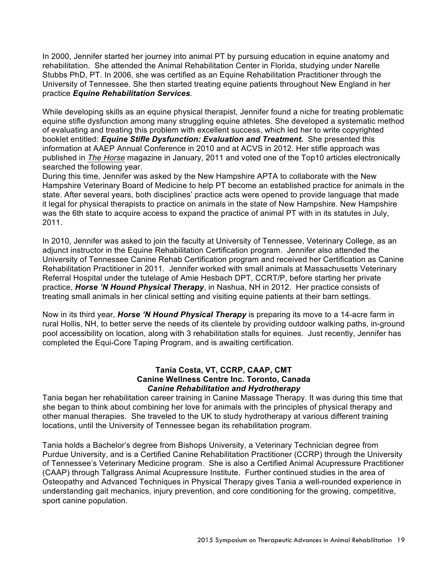In 2000, Jennifer started her journey into animal PT by pursuing education in equine anatomy and rehabilitation. She attended the Animal Rehabilitation Center in Florida, studying under Narelle Stubbs PhD, PT. In 2006, she was certified as an Equine Rehabilitation Practitioner through the University of Tennessee. She then started treating equine patients throughout New England in her practice *Equine Rehabilitation Services.*

While developing skills as an equine physical therapist, Jennifer found a niche for treating problematic equine stifle dysfunction among many struggling equine athletes. She developed a systematic method of evaluating and treating this problem with excellent success, which led her to write copyrighted booklet entitled: *Equine Stifle Dysfunction: Evaluation and Treatment.* She presented this information at AAEP Annual Conference in 2010 and at ACVS in 2012. Her stifle approach was published in *The Horse* magazine in January, 2011 and voted one of the Top10 articles electronically searched the following year.

During this time, Jennifer was asked by the New Hampshire APTA to collaborate with the New Hampshire Veterinary Board of Medicine to help PT become an established practice for animals in the state. After several years, both disciplines' practice acts were opened to provide language that made it legal for physical therapists to practice on animals in the state of New Hampshire. New Hampshire was the 6th state to acquire access to expand the practice of animal PT with in its statutes in July, 2011.

In 2010, Jennifer was asked to join the faculty at University of Tennessee, Veterinary College, as an adjunct instructor in the Equine Rehabilitation Certification program. Jennifer also attended the University of Tennessee Canine Rehab Certification program and received her Certification as Canine Rehabilitation Practitioner in 2011. Jennifer worked with small animals at Massachusetts Veterinary Referral Hospital under the tutelage of Amie Hesbach DPT, CCRT/P, before starting her private practice, *Horse 'N Hound Physical Therapy*, in Nashua, NH in 2012. Her practice consists of treating small animals in her clinical setting and visiting equine patients at their barn settings.

Now in its third year, *Horse 'N Hound Physical Therapy* is preparing its move to a 14-acre farm in rural Hollis, NH, to better serve the needs of its clientele by providing outdoor walking paths, in-ground pool accessibility on location, along with 3 rehabilitation stalls for equines. Just recently, Jennifer has completed the Equi-Core Taping Program, and is awaiting certification.

#### **Tania Costa, VT, CCRP, CAAP, CMT Canine Wellness Centre Inc. Toronto, Canada** *Canine Rehabilitation and Hydrotherapy*

Tania began her rehabilitation career training in Canine Massage Therapy. It was during this time that she began to think about combining her love for animals with the principles of physical therapy and other manual therapies. She traveled to the UK to study hydrotherapy at various different training locations, until the University of Tennessee began its rehabilitation program.

Tania holds a Bachelor's degree from Bishops University, a Veterinary Technician degree from Purdue University, and is a Certified Canine Rehabilitation Practitioner (CCRP) through the University of Tennessee's Veterinary Medicine program. She is also a Certified Animal Acupressure Practitioner (CAAP) through Tallgrass Animal Acupressure Institute. Further continued studies in the area of Osteopathy and Advanced Techniques in Physical Therapy gives Tania a well-rounded experience in understanding gait mechanics, injury prevention, and core conditioning for the growing, competitive, sport canine population.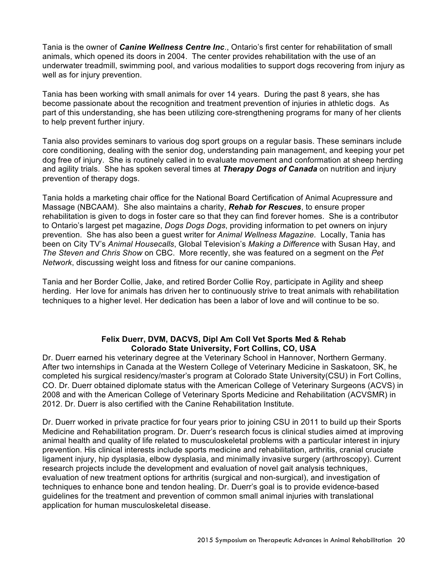Tania is the owner of *Canine Wellness Centre Inc*., Ontario's first center for rehabilitation of small animals, which opened its doors in 2004. The center provides rehabilitation with the use of an underwater treadmill, swimming pool, and various modalities to support dogs recovering from injury as well as for injury prevention.

Tania has been working with small animals for over 14 years. During the past 8 years, she has become passionate about the recognition and treatment prevention of injuries in athletic dogs. As part of this understanding, she has been utilizing core-strengthening programs for many of her clients to help prevent further injury.

Tania also provides seminars to various dog sport groups on a regular basis. These seminars include core conditioning, dealing with the senior dog, understanding pain management, and keeping your pet dog free of injury. She is routinely called in to evaluate movement and conformation at sheep herding and agility trials. She has spoken several times at *Therapy Dogs of Canada* on nutrition and injury prevention of therapy dogs.

Tania holds a marketing chair office for the National Board Certification of Animal Acupressure and Massage (NBCAAM). She also maintains a charity, *Rehab for Rescues*, to ensure proper rehabilitation is given to dogs in foster care so that they can find forever homes. She is a contributor to Ontario's largest pet magazine, *Dogs Dogs Dogs*, providing information to pet owners on injury prevention. She has also been a guest writer for *Animal Wellness Magazine*. Locally, Tania has been on City TV's *Animal Housecalls*, Global Television's *Making a Difference* with Susan Hay, and *The Steven and Chris Show* on CBC. More recently, she was featured on a segment on the *Pet Network*, discussing weight loss and fitness for our canine companions.

Tania and her Border Collie, Jake, and retired Border Collie Roy, participate in Agility and sheep herding. Her love for animals has driven her to continuously strive to treat animals with rehabilitation techniques to a higher level. Her dedication has been a labor of love and will continue to be so.

#### **Felix Duerr, DVM, DACVS, Dipl Am Coll Vet Sports Med & Rehab Colorado State University, Fort Collins, CO, USA**

Dr. Duerr earned his veterinary degree at the Veterinary School in Hannover, Northern Germany. After two internships in Canada at the Western College of Veterinary Medicine in Saskatoon, SK, he completed his surgical residency/master's program at Colorado State University(CSU) in Fort Collins, CO. Dr. Duerr obtained diplomate status with the American College of Veterinary Surgeons (ACVS) in 2008 and with the American College of Veterinary Sports Medicine and Rehabilitation (ACVSMR) in 2012. Dr. Duerr is also certified with the Canine Rehabilitation Institute.

Dr. Duerr worked in private practice for four years prior to joining CSU in 2011 to build up their Sports Medicine and Rehabilitation program. Dr. Duerr's research focus is clinical studies aimed at improving animal health and quality of life related to musculoskeletal problems with a particular interest in injury prevention. His clinical interests include sports medicine and rehabilitation, arthritis, cranial cruciate ligament injury, hip dysplasia, elbow dysplasia, and minimally invasive surgery (arthroscopy). Current research projects include the development and evaluation of novel gait analysis techniques, evaluation of new treatment options for arthritis (surgical and non-surgical), and investigation of techniques to enhance bone and tendon healing. Dr. Duerr's goal is to provide evidence-based guidelines for the treatment and prevention of common small animal injuries with translational application for human musculoskeletal disease.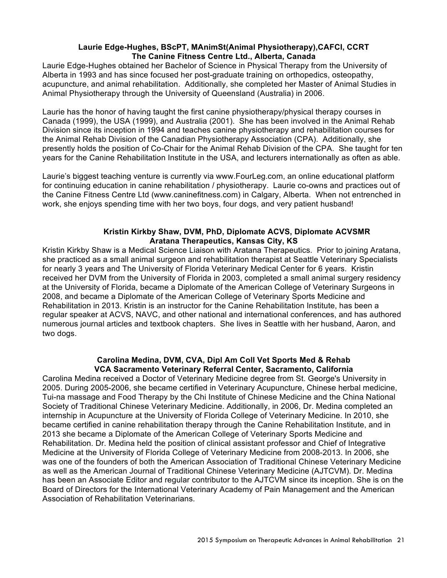#### **Laurie Edge-Hughes, BScPT, MAnimSt(Animal Physiotherapy),CAFCI, CCRT The Canine Fitness Centre Ltd., Alberta, Canada**

Laurie Edge-Hughes obtained her Bachelor of Science in Physical Therapy from the University of Alberta in 1993 and has since focused her post-graduate training on orthopedics, osteopathy, acupuncture, and animal rehabilitation. Additionally, she completed her Master of Animal Studies in Animal Physiotherapy through the University of Queensland (Australia) in 2006.

Laurie has the honor of having taught the first canine physiotherapy/physical therapy courses in Canada (1999), the USA (1999), and Australia (2001). She has been involved in the Animal Rehab Division since its inception in 1994 and teaches canine physiotherapy and rehabilitation courses for the Animal Rehab Division of the Canadian Physiotherapy Association (CPA). Additionally, she presently holds the position of Co-Chair for the Animal Rehab Division of the CPA. She taught for ten years for the Canine Rehabilitation Institute in the USA, and lecturers internationally as often as able.

Laurie's biggest teaching venture is currently via www.FourLeg.com, an online educational platform for continuing education in canine rehabilitation / physiotherapy. Laurie co-owns and practices out of the Canine Fitness Centre Ltd (www.caninefitness.com) in Calgary, Alberta. When not entrenched in work, she enjoys spending time with her two boys, four dogs, and very patient husband!

### **Kristin Kirkby Shaw, DVM, PhD, Diplomate ACVS, Diplomate ACVSMR Aratana Therapeutics, Kansas City, KS**

Kristin Kirkby Shaw is a Medical Science Liaison with Aratana Therapeutics. Prior to joining Aratana, she practiced as a small animal surgeon and rehabilitation therapist at Seattle Veterinary Specialists for nearly 3 years and The University of Florida Veterinary Medical Center for 6 years. Kristin received her DVM from the University of Florida in 2003, completed a small animal surgery residency at the University of Florida, became a Diplomate of the American College of Veterinary Surgeons in 2008, and became a Diplomate of the American College of Veterinary Sports Medicine and Rehabilitation in 2013. Kristin is an instructor for the Canine Rehabilitation Institute, has been a regular speaker at ACVS, NAVC, and other national and international conferences, and has authored numerous journal articles and textbook chapters. She lives in Seattle with her husband, Aaron, and two dogs.

#### **Carolina Medina, DVM, CVA, Dipl Am Coll Vet Sports Med & Rehab VCA Sacramento Veterinary Referral Center, Sacramento, California**

Carolina Medina received a Doctor of Veterinary Medicine degree from St. George's University in 2005. During 2005-2006, she became certified in Veterinary Acupuncture, Chinese herbal medicine, Tui-na massage and Food Therapy by the Chi Institute of Chinese Medicine and the China National Society of Traditional Chinese Veterinary Medicine. Additionally, in 2006, Dr. Medina completed an internship in Acupuncture at the University of Florida College of Veterinary Medicine. In 2010, she became certified in canine rehabilitation therapy through the Canine Rehabilitation Institute, and in 2013 she became a Diplomate of the American College of Veterinary Sports Medicine and Rehabilitation. Dr. Medina held the position of clinical assistant professor and Chief of Integrative Medicine at the University of Florida College of Veterinary Medicine from 2008-2013. In 2006, she was one of the founders of both the American Association of Traditional Chinese Veterinary Medicine as well as the American Journal of Traditional Chinese Veterinary Medicine (AJTCVM). Dr. Medina has been an Associate Editor and regular contributor to the AJTCVM since its inception. She is on the Board of Directors for the International Veterinary Academy of Pain Management and the American Association of Rehabilitation Veterinarians.